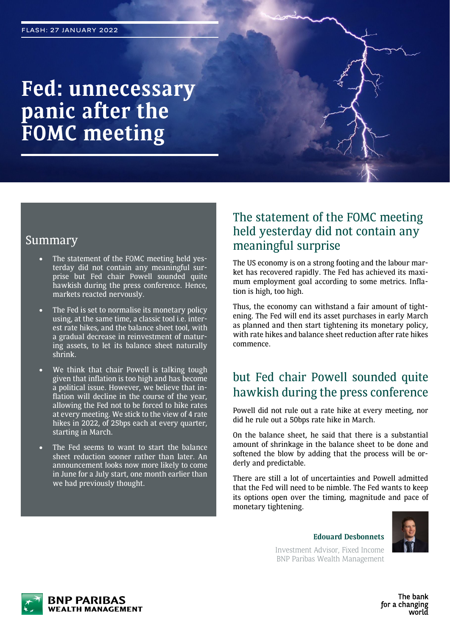# **Fed: unnecessary panic after the FOMC meeting**

### Summary

- The statement of the FOMC meeting held yesterday did not contain any meaningful surprise but Fed chair Powell sounded quite hawkish during the press conference. Hence, markets reacted nervously.
- The Fed is set to normalise its monetary policy using, at the same time, a classic tool i.e. interest rate hikes, and the balance sheet tool, with a gradual decrease in reinvestment of maturing assets, to let its balance sheet naturally shrink.
- We think that chair Powell is talking tough given that inflation is too high and has become a political issue. However, we believe that inflation will decline in the course of the year, allowing the Fed not to be forced to hike rates at every meeting. We stick to the view of 4 rate hikes in 2022, of 25bps each at every quarter, starting in March.
- The Fed seems to want to start the balance sheet reduction sooner rather than later. An announcement looks now more likely to come in June for a July start, one month earlier than we had previously thought.

### The statement of the FOMC meeting held yesterday did not contain any meaningful surprise

The US economy is on a strong footing and the labour market has recovered rapidly. The Fed has achieved its maximum employment goal according to some metrics. Inflation is high, too high.

Thus, the economy can withstand a fair amount of tightening. The Fed will end its asset purchases in early March as planned and then start tightening its monetary policy, with rate hikes and balance sheet reduction after rate hikes commence.

## but Fed chair Powell sounded quite hawkish during the press conference

Powell did not rule out a rate hike at every meeting, nor did he rule out a 50bps rate hike in March.

On the balance sheet, he said that there is a substantial amount of shrinkage in the balance sheet to be done and softened the blow by adding that the process will be orderly and predictable.

There are still a lot of uncertainties and Powell admitted that the Fed will need to be nimble. The Fed wants to keep its options open over the timing, magnitude and pace of monetary tightening.



**Edouard Desbonnets**

Investment Advisor, Fixed Income BNP Paribas Wealth Management



The bank for a changing world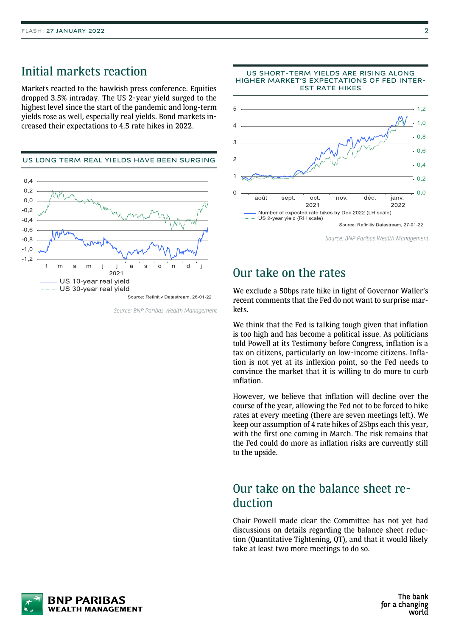### Initial markets reaction

Markets reacted to the hawkish press conference. Equities dropped 3.5% intraday. The US 2-year yield surged to the highest level since the start of the pandemic and long-term yields rose as well, especially real yields. Bond markets increased their expectations to 4.5 rate hikes in 2022.



Source: BNP Paribas Wealth Management



### Our take on the rates

We exclude a 50bps rate hike in light of Governor Waller's recent comments that the Fed do not want to surprise markets.

We think that the Fed is talking tough given that inflation is too high and has become a political issue. As politicians told Powell at its Testimony before Congress, inflation is a tax on citizens, particularly on low-income citizens. Inflation is not yet at its inflexion point, so the Fed needs to convince the market that it is willing to do more to curb inflation.

However, we believe that inflation will decline over the course of the year, allowing the Fed not to be forced to hike rates at every meeting (there are seven meetings left). We keep our assumption of 4 rate hikes of 25bps each this year, with the first one coming in March. The risk remains that the Fed could do more as inflation risks are currently still to the upside.

### Our take on the balance sheet reduction

Chair Powell made clear the Committee has not yet had discussions on details regarding the balance sheet reduction (Quantitative Tightening, QT), and that it would likely take at least two more meetings to do so.

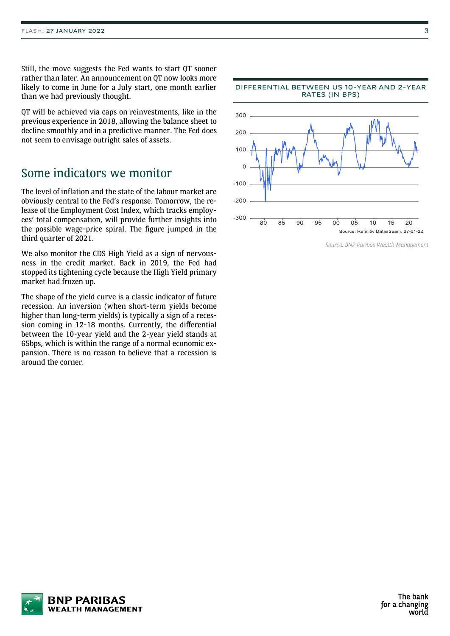Still, the move suggests the Fed wants to start QT sooner rather than later. An announcement on QT now looks more likely to come in June for a July start, one month earlier than we had previously thought.

QT will be achieved via caps on reinvestments, like in the previous experience in 2018, allowing the balance sheet to decline smoothly and in a predictive manner. The Fed does not seem to envisage outright sales of assets.

### Some indicators we monitor

The level of inflation and the state of the labour market are obviously central to the Fed's response. Tomorrow, the release of the Employment Cost Index, which tracks employees' total compensation, will provide further insights into the possible wage-price spiral. The figure jumped in the third quarter of 2021.

We also monitor the CDS High Yield as a sign of nervousness in the credit market. Back in 2019, the Fed had stopped its tightening cycle because the High Yield primary market had frozen up.

The shape of the yield curve is a classic indicator of future recession. An inversion (when short-term yields become higher than long-term yields) is typically a sign of a recession coming in 12-18 months. Currently, the differential between the 10-year yield and the 2-year yield stands at 65bps, which is within the range of a normal economic expansion. There is no reason to believe that a recession is around the corner.



Source: BNP Paribas Wealth Management

The bank for a changing world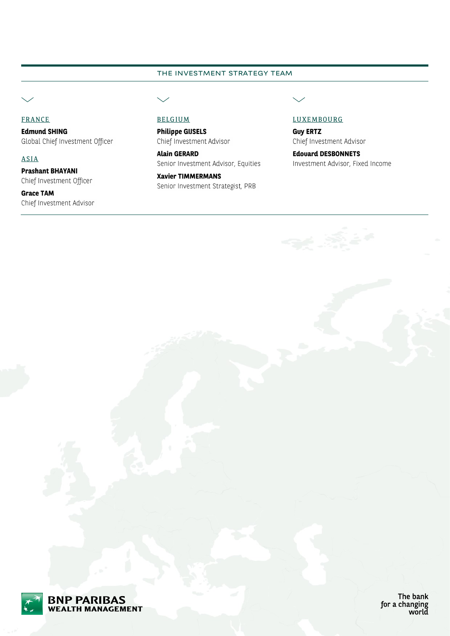### **THE INVESTMENT STRATEGY TEAM**

FRANCE

**Edmund SHING** Global Chief Investment Officer

ASIA

**Prashant BHAYANI** Chief Investment Officer

**Grace TAM** Chief Investment Advisor

**Philippe GIJSELS** Chief Investment Advisor

**Alain GERARD** Senior Investment Advisor, Equities

**Xavier TIMMERMANS** Senior Investment Strategist, PRB

#### BELGIUM LUXEMBOURG

**Guy ERTZ** Chief Investment Advisor

**Edouard DESBONNETS** Investment Advisor, Fixed Income



The bank for a changing<br>world